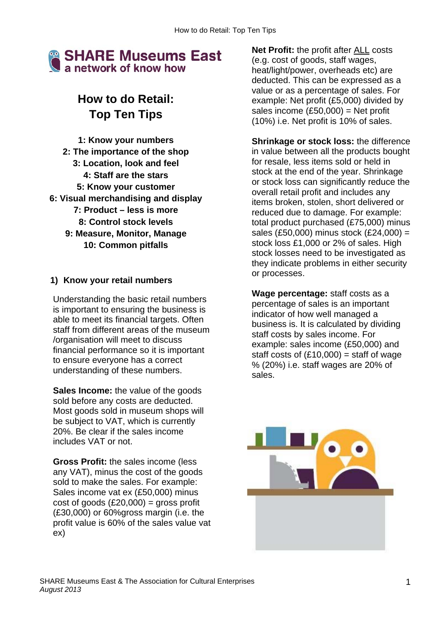

# **How to do Retail: Top Ten Tips**

**1: Know your numbers 2: The importance of the shop 3: Location, look and feel 4: Staff are the stars 5: Know your customer 6: Visual merchandising and display 7: Product – less is more 8: Control stock levels 9: Measure, Monitor, Manage 10: Common pitfalls** 

#### **1) Know your retail numbers**

Understanding the basic retail numbers is important to ensuring the business is able to meet its financial targets. Often staff from different areas of the museum /organisation will meet to discuss financial performance so it is important to ensure everyone has a correct understanding of these numbers.

**Sales Income:** the value of the goods sold before any costs are deducted. Most goods sold in museum shops will be subject to VAT, which is currently 20%. Be clear if the sales income includes VAT or not.

**Gross Profit:** the sales income (less any VAT), minus the cost of the goods sold to make the sales. For example: Sales income vat ex (£50,000) minus  $cost of goods (£20,000) = gross profit$ (£30,000) or 60%gross margin (i.e. the profit value is 60% of the sales value vat ex)

**Net Profit:** the profit after ALL costs (e.g. cost of goods, staff wages, heat/light/power, overheads etc) are deducted. This can be expressed as a value or as a percentage of sales. For example: Net profit (£5,000) divided by sales income  $(E50,000)$  = Net profit (10%) i.e. Net profit is 10% of sales.

**Shrinkage or stock loss:** the difference in value between all the products bought for resale, less items sold or held in stock at the end of the year. Shrinkage or stock loss can significantly reduce the overall retail profit and includes any items broken, stolen, short delivered or reduced due to damage. For example: total product purchased (£75,000) minus sales (£50,000) minus stock (£24,000) = stock loss £1,000 or 2% of sales. High stock losses need to be investigated as they indicate problems in either security or processes.

**Wage percentage:** staff costs as a percentage of sales is an important indicator of how well managed a business is. It is calculated by dividing staff costs by sales income. For example: sales income (£50,000) and staff costs of  $(E10,000)$  = staff of wage % (20%) i.e. staff wages are 20% of sales.

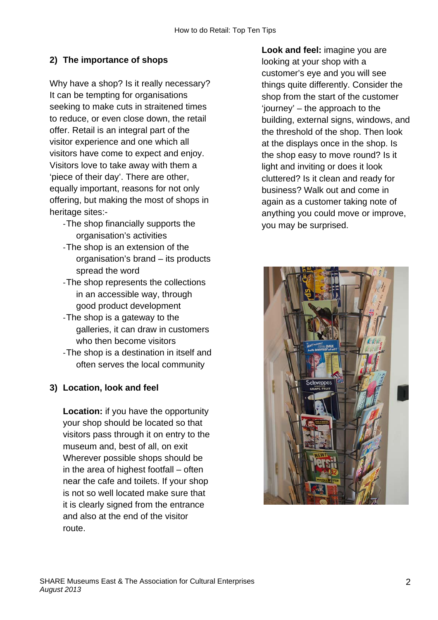## **2) The importance of shops**

Why have a shop? Is it really necessary? It can be tempting for organisations seeking to make cuts in straitened times to reduce, or even close down, the retail offer. Retail is an integral part of the visitor experience and one which all visitors have come to expect and enjoy. Visitors love to take away with them a 'piece of their day'. There are other, equally important, reasons for not only offering, but making the most of shops in heritage sites:-

- ‐ The shop financially supports the organisation's activities
- ‐ The shop is an extension of the organisation's brand – its products spread the word
- ‐ The shop represents the collections in an accessible way, through good product development
- ‐ The shop is a gateway to the galleries, it can draw in customers who then become visitors
- ‐ The shop is a destination in itself and often serves the local community

## **3) Location, look and feel**

**Location:** if you have the opportunity your shop should be located so that visitors pass through it on entry to the museum and, best of all, on exit Wherever possible shops should be in the area of highest footfall – often near the cafe and toilets. If your shop is not so well located make sure that it is clearly signed from the entrance and also at the end of the visitor route.

**Look and feel:** imagine you are looking at your shop with a customer's eye and you will see things quite differently. Consider the shop from the start of the customer 'journey' – the approach to the building, external signs, windows, and the threshold of the shop. Then look at the displays once in the shop. Is the shop easy to move round? Is it light and inviting or does it look cluttered? Is it clean and ready for business? Walk out and come in again as a customer taking note of anything you could move or improve, you may be surprised.

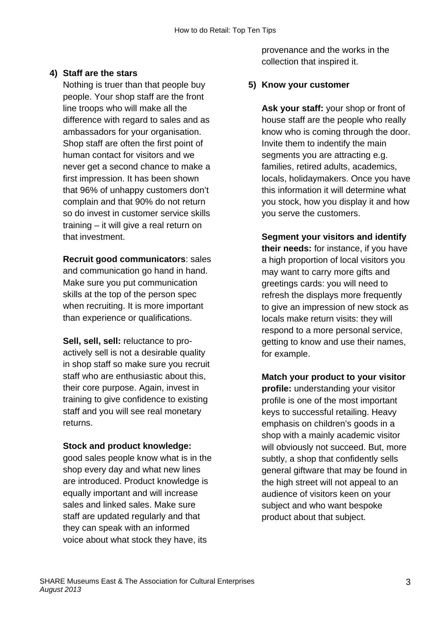#### **4) Staff are the stars**

Nothing is truer than that people buy people. Your shop staff are the front line troops who will make all the difference with regard to sales and as ambassadors for your organisation. Shop staff are often the first point of human contact for visitors and we never get a second chance to make a first impression. It has been shown that 96% of unhappy customers don't complain and that 90% do not return so do invest in customer service skills training – it will give a real return on that investment.

**Recruit good communicators**: sales and communication go hand in hand. Make sure you put communication skills at the top of the person spec when recruiting. It is more important than experience or qualifications.

**Sell, sell, sell:** reluctance to proactively sell is not a desirable quality in shop staff so make sure you recruit staff who are enthusiastic about this, their core purpose. Again, invest in training to give confidence to existing staff and you will see real monetary returns.

#### **Stock and product knowledge:**

good sales people know what is in the shop every day and what new lines are introduced. Product knowledge is equally important and will increase sales and linked sales. Make sure staff are updated regularly and that they can speak with an informed voice about what stock they have, its

provenance and the works in the collection that inspired it.

#### **5) Know your customer**

**Ask your staff:** your shop or front of house staff are the people who really know who is coming through the door. Invite them to indentify the main segments you are attracting e.g. families, retired adults, academics, locals, holidaymakers. Once you have this information it will determine what you stock, how you display it and how you serve the customers.

**Segment your visitors and identify their needs:** for instance, if you have a high proportion of local visitors you may want to carry more gifts and greetings cards: you will need to refresh the displays more frequently to give an impression of new stock as locals make return visits: they will respond to a more personal service, getting to know and use their names, for example.

**Match your product to your visitor profile:** understanding your visitor profile is one of the most important keys to successful retailing. Heavy emphasis on children's goods in a shop with a mainly academic visitor will obviously not succeed. But, more subtly, a shop that confidently sells general giftware that may be found in the high street will not appeal to an audience of visitors keen on your subject and who want bespoke product about that subject.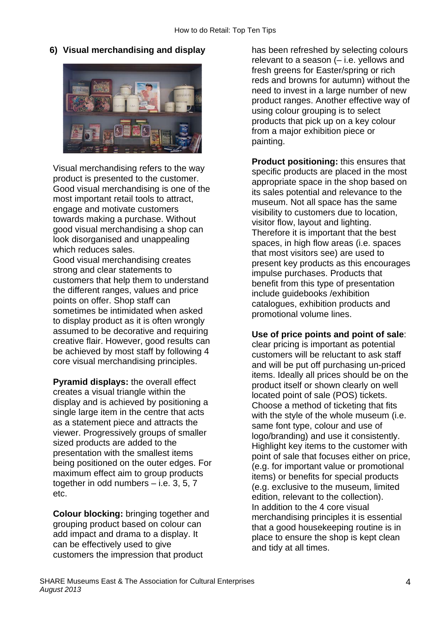**6) Visual merchandising and display** 



Visual merchandising refers to the way product is presented to the customer. Good visual merchandising is one of the most important retail tools to attract, engage and motivate customers towards making a purchase. Without good visual merchandising a shop can look disorganised and unappealing which reduces sales. Good visual merchandising creates strong and clear statements to customers that help them to understand the different ranges, values and price points on offer. Shop staff can sometimes be intimidated when asked to display product as it is often wrongly assumed to be decorative and requiring creative flair. However, good results can

**Pyramid displays:** the overall effect creates a visual triangle within the display and is achieved by positioning a single large item in the centre that acts as a statement piece and attracts the viewer. Progressively groups of smaller sized products are added to the presentation with the smallest items being positioned on the outer edges. For maximum effect aim to group products together in odd numbers – i.e. 3, 5, 7 etc.

be achieved by most staff by following 4 core visual merchandising principles.

**Colour blocking:** bringing together and grouping product based on colour can add impact and drama to a display. It can be effectively used to give customers the impression that product

has been refreshed by selecting colours relevant to a season (– i.e. yellows and fresh greens for Easter/spring or rich reds and browns for autumn) without the need to invest in a large number of new product ranges. Another effective way of using colour grouping is to select products that pick up on a key colour from a major exhibition piece or painting.

**Product positioning:** this ensures that specific products are placed in the most appropriate space in the shop based on its sales potential and relevance to the museum. Not all space has the same visibility to customers due to location, visitor flow, layout and lighting. Therefore it is important that the best spaces, in high flow areas (i.e. spaces that most visitors see) are used to present key products as this encourages impulse purchases. Products that benefit from this type of presentation include guidebooks /exhibition catalogues, exhibition products and promotional volume lines.

**Use of price points and point of sale**:

clear pricing is important as potential customers will be reluctant to ask staff and will be put off purchasing un-priced items. Ideally all prices should be on the product itself or shown clearly on well located point of sale (POS) tickets. Choose a method of ticketing that fits with the style of the whole museum (i.e. same font type, colour and use of logo/branding) and use it consistently. Highlight key items to the customer with point of sale that focuses either on price, (e.g. for important value or promotional items) or benefits for special products (e.g. exclusive to the museum, limited edition, relevant to the collection). In addition to the 4 core visual merchandising principles it is essential that a good housekeeping routine is in place to ensure the shop is kept clean and tidy at all times.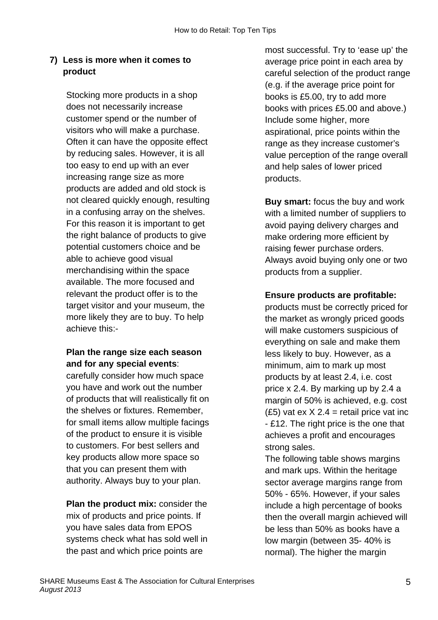## **7) Less is more when it comes to product**

Stocking more products in a shop does not necessarily increase customer spend or the number of visitors who will make a purchase. Often it can have the opposite effect by reducing sales. However, it is all too easy to end up with an ever increasing range size as more products are added and old stock is not cleared quickly enough, resulting in a confusing array on the shelves. For this reason it is important to get the right balance of products to give potential customers choice and be able to achieve good visual merchandising within the space available. The more focused and relevant the product offer is to the target visitor and your museum, the more likely they are to buy. To help achieve this:-

## **Plan the range size each season and for any special events**:

carefully consider how much space you have and work out the number of products that will realistically fit on the shelves or fixtures. Remember, for small items allow multiple facings of the product to ensure it is visible to customers. For best sellers and key products allow more space so that you can present them with authority. Always buy to your plan.

**Plan the product mix:** consider the mix of products and price points. If you have sales data from EPOS systems check what has sold well in the past and which price points are

most successful. Try to 'ease up' the average price point in each area by careful selection of the product range (e.g. if the average price point for books is £5.00, try to add more books with prices £5.00 and above.) Include some higher, more aspirational, price points within the range as they increase customer's value perception of the range overall and help sales of lower priced products.

**Buy smart:** focus the buy and work with a limited number of suppliers to avoid paying delivery charges and make ordering more efficient by raising fewer purchase orders. Always avoid buying only one or two products from a supplier.

#### **Ensure products are profitable:**

products must be correctly priced for the market as wrongly priced goods will make customers suspicious of everything on sale and make them less likely to buy. However, as a minimum, aim to mark up most products by at least 2.4, i.e. cost price x 2.4. By marking up by 2.4 a margin of 50% is achieved, e.g. cost  $(£5)$  vat ex  $X$  2.4 = retail price vat inc - £12. The right price is the one that achieves a profit and encourages strong sales.

The following table shows margins and mark ups. Within the heritage sector average margins range from 50% - 65%. However, if your sales include a high percentage of books then the overall margin achieved will be less than 50% as books have a low margin (between 35- 40% is normal). The higher the margin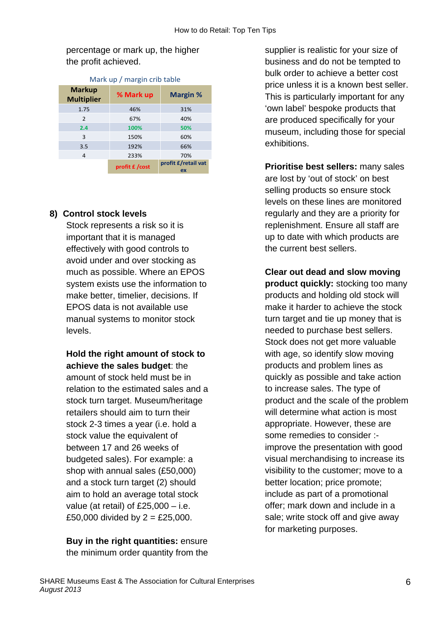percentage or mark up, the higher the profit achieved.

| width ap , margin cho table        |                |                           |
|------------------------------------|----------------|---------------------------|
| <b>Markup</b><br><b>Multiplier</b> | % Mark up      | <b>Margin %</b>           |
| 1.75                               | 46%            | 31%                       |
| 2                                  | 67%            | 40%                       |
| 2.4                                | 100%           | 50%                       |
| 3                                  | 150%           | 60%                       |
| 3.5                                | 192%           | 66%                       |
| 4                                  | 233%           | 70%                       |
|                                    | profit £ /cost | profit £/retail vat<br>ex |

#### Mark up / margin crib table

#### **8) Control stock levels**

Stock represents a risk so it is important that it is managed effectively with good controls to avoid under and over stocking as much as possible. Where an EPOS system exists use the information to make better, timelier, decisions. If EPOS data is not available use manual systems to monitor stock levels.

**Hold the right amount of stock to achieve the sales budget**: the amount of stock held must be in relation to the estimated sales and a stock turn target. Museum/heritage retailers should aim to turn their stock 2-3 times a year (i.e. hold a stock value the equivalent of between 17 and 26 weeks of budgeted sales). For example: a shop with annual sales (£50,000) and a stock turn target (2) should aim to hold an average total stock value (at retail) of £25,000 – i.e. £50,000 divided by  $2 = £25,000$ .

#### **Buy in the right quantities:** ensure the minimum order quantity from the

supplier is realistic for your size of business and do not be tempted to bulk order to achieve a better cost price unless it is a known best seller. This is particularly important for any 'own label' bespoke products that are produced specifically for your museum, including those for special exhibitions.

**Prioritise best sellers:** many sales are lost by 'out of stock' on best selling products so ensure stock levels on these lines are monitored regularly and they are a priority for replenishment. Ensure all staff are up to date with which products are the current best sellers.

**Clear out dead and slow moving product quickly:** stocking too many products and holding old stock will make it harder to achieve the stock turn target and tie up money that is needed to purchase best sellers. Stock does not get more valuable with age, so identify slow moving products and problem lines as quickly as possible and take action to increase sales. The type of product and the scale of the problem will determine what action is most appropriate. However, these are some remedies to consider : improve the presentation with good visual merchandising to increase its visibility to the customer; move to a better location; price promote; include as part of a promotional offer; mark down and include in a sale; write stock off and give away for marketing purposes.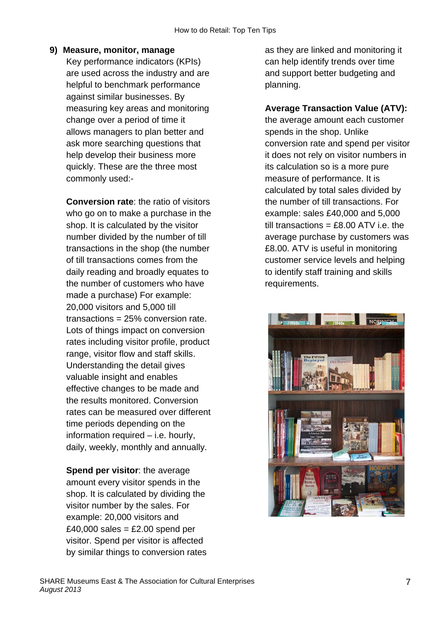#### **9) Measure, monitor, manage**

Key performance indicators (KPIs) are used across the industry and are helpful to benchmark performance against similar businesses. By measuring key areas and monitoring change over a period of time it allows managers to plan better and ask more searching questions that help develop their business more quickly. These are the three most commonly used:-

**Conversion rate**: the ratio of visitors who go on to make a purchase in the shop. It is calculated by the visitor number divided by the number of till transactions in the shop (the number of till transactions comes from the daily reading and broadly equates to the number of customers who have made a purchase) For example: 20,000 visitors and 5,000 till transactions = 25% conversion rate. Lots of things impact on conversion rates including visitor profile, product range, visitor flow and staff skills. Understanding the detail gives valuable insight and enables effective changes to be made and the results monitored. Conversion rates can be measured over different time periods depending on the information required – i.e. hourly, daily, weekly, monthly and annually.

**Spend per visitor**: the average amount every visitor spends in the shop. It is calculated by dividing the visitor number by the sales. For example: 20,000 visitors and  $£40,000$  sales = £2.00 spend per visitor. Spend per visitor is affected by similar things to conversion rates as they are linked and monitoring it can help identify trends over time and support better budgeting and planning.

### **Average Transaction Value (ATV):**

the average amount each customer spends in the shop. Unlike conversion rate and spend per visitor it does not rely on visitor numbers in its calculation so is a more pure measure of performance. It is calculated by total sales divided by the number of till transactions. For example: sales £40,000 and 5,000 till transactions =  $£8.00$  ATV i.e. the average purchase by customers was £8.00. ATV is useful in monitoring customer service levels and helping to identify staff training and skills requirements.